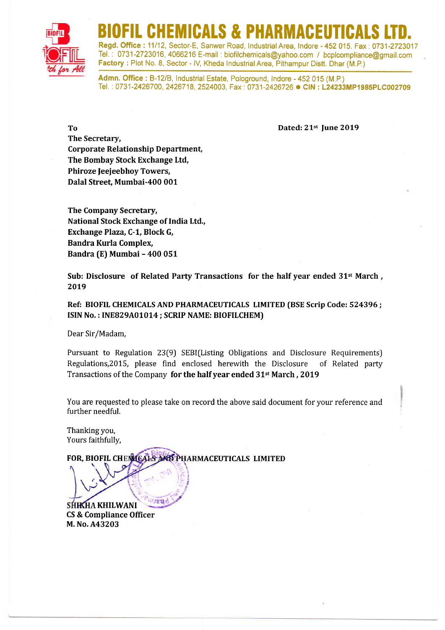

## BIOFIL CHEMICALS & PHARMACEUTICALS LTD.

Regd. Office: 11/12, Sector-E, Sanwer Road, Industrial Area, Indore - 452 015, Fax: 0731-2723017 Tel.', 0731-2723016,4066216 E-mail : biofilchemicals@yahoo.com / bcplcompliance@gmail.com Factory : Plot No. 8, Sector - IV, Kheda Industrial Area, Pithampur Distt. Dhar (M.P.)

Admn. Office: B-12/B, Industrial Estate, Pologround, Indore - 452 015 (M.P.) Tel.: 0731-2426700, 2426718, 2524003, Fax: 0731-2426726 CIN: L24233MP1985PLC002709

To Dated: 21st June 2019

The Secretary, Corporate Relationship Department, The Bombay Stock Exchange Ltd, Phiroze Jeejeebhoy Towers, Dalal Street. Mumbai-400 001

The Company Secretary, National Stock Exchange of India Ltd., Exchange Plaza, C-1, Block G, Bandra Kurla Complex, Bandra (E) Mumbai - 400 051

Sub: Disclosure of Related Party Transactions for the half year ended  $31<sup>st</sup>$  March, 2019

Ref: BIOFIL CHEMICALS AND PHARMACEUTICALS LIMITED (BSE Scrip Code: 524396; ISIN No.: INE829A01014; SCRIP NAME: BIOFILCHEM)

Dear Sir/Madam,

Pursuant to Regulation 23(9) SEBI(Listing Obligations and Disclosure Requirements) Regulations,20IS, please find enclosed herewith the Disclosure of Related party Transactions of the Company for the half year ended 31<sup>st</sup> March, 2019

You are requested to please take on record the above said document for your reference and further needful.

Thanking you, Yours faithfully,

**AD PHARMACEUTICALS LIMITED** FOR. BIOFIL CHENICALS

**JEW** SHKHA KHILWANI CS & Compliance Officer M. No. A432O3